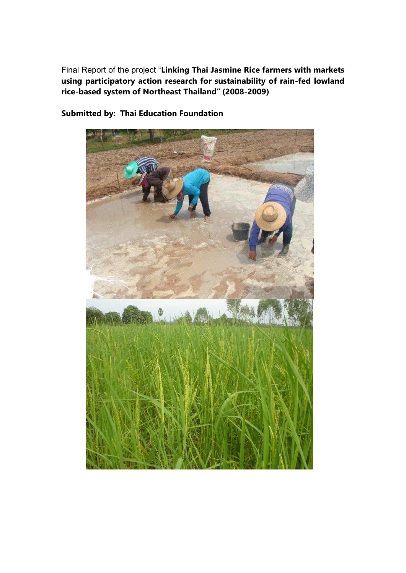Final Report of the project "**Linking Thai Jasmine Rice farmers with markets using participatory action research for sustainability of rain-fed lowland rice-based system of Northeast Thailand" (2008-2009)**



**Submitted by: Thai Education Foundation**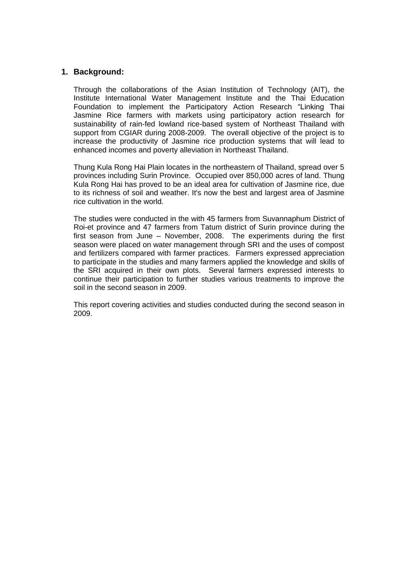### **1. Background:**

Through the collaborations of the Asian Institution of Technology (AIT), the Institute International Water Management Institute and the Thai Education Foundation to implement the Participatory Action Research "Linking Thai Jasmine Rice farmers with markets using participatory action research for sustainability of rain-fed lowland rice-based system of Northeast Thailand with support from CGIAR during 2008-2009. The overall objective of the project is to increase the productivity of Jasmine rice production systems that will lead to enhanced incomes and poverty alleviation in Northeast Thailand.

Thung Kula Rong Hai Plain locates in the northeastern of Thailand, spread over 5 provinces including Surin Province. Occupied over 850,000 acres of land. Thung Kula Rong Hai has proved to be an ideal area for cultivation of Jasmine rice, due to its richness of soil and weather. It's now the best and largest area of Jasmine rice cultivation in the world.

The studies were conducted in the with 45 farmers from Suvannaphum District of Roi-et province and 47 farmers from Tatum district of Surin province during the first season from June – November, 2008. The experiments during the first season were placed on water management through SRI and the uses of compost and fertilizers compared with farmer practices. Farmers expressed appreciation to participate in the studies and many farmers applied the knowledge and skills of the SRI acquired in their own plots. Several farmers expressed interests to continue their participation to further studies various treatments to improve the soil in the second season in 2009.

This report covering activities and studies conducted during the second season in 2009.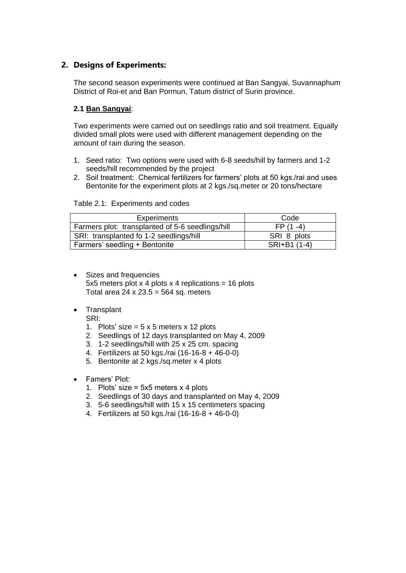## **2. Designs of Experiments:**

The second season experiments were continued at Ban Sangyai, Suvannaphum District of Roi-et and Ban Pormun, Tatum district of Surin province.

#### **2.1 Ban Sangyai**:

Two experiments were carried out on seedlings ratio and soil treatment. Equally divided small plots were used with different management depending on the amount of rain during the season.

- 1. Seed ratio: Two options were used with 6-8 seeds/hill by farmers and 1-2 seeds/hill recommended by the project
- 2. Soil treatment: Chemical fertilizers for farmers' plots at 50 kgs./rai and uses Bentonite for the experiment plots at 2 kgs./sq.meter or 20 tons/hectare

| <b>Experiments</b>                               | Code         |
|--------------------------------------------------|--------------|
| Farmers plot: transplanted of 5-6 seedlings/hill | $FP(1 -4)$   |
| SRI: transplanted fo 1-2 seedlings/hill          | SRI 8 plots  |
| Farmers' seedling + Bentonite                    | SRI+B1 (1-4) |

#### Table 2.1: Experiments and codes

- Sizes and frequencies 5x5 meters plot  $x$  4 plots  $x$  4 replications = 16 plots Total area 24 x 23.5 =  $564$  sq. meters
- Transplant
	- SRI:
		- 1. Plots' size =  $5 \times 5$  meters  $\times$  12 plots
		- 2. Seedlings of 12 days transplanted on May 4, 2009
		- 3. 1-2 seedlings/hill with 25 x 25 cm. spacing
		- 4. Fertilizers at 50 kgs./rai (16-16-8 + 46-0-0)
		- 5. Bentonite at 2 kgs./sq.meter x 4 plots
- Famers' Plot:
	- 1. Plots' size = 5x5 meters x 4 plots
	- 2. Seedlings of 30 days and transplanted on May 4, 2009
	- 3. 5-6 seedlings/hill with 15 x 15 centimeters spacing
	- 4. Fertilizers at 50 kgs./rai (16-16-8 + 46-0-0)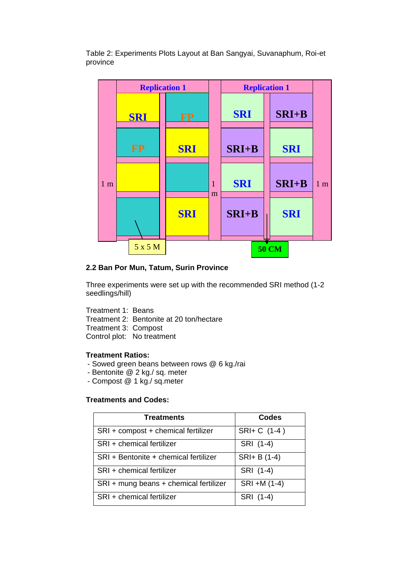Table 2: Experiments Plots Layout at Ban Sangyai, Suvanaphum, Roi-et province



#### **2.2 Ban Por Mun, Tatum, Surin Province**

Three experiments were set up with the recommended SRI method (1-2 seedlings/hill)

Treatment 1: Beans Treatment 2: Bentonite at 20 ton/hectare Treatment 3: Compost

Control plot: No treatment

#### **Treatment Ratios:**

- Sowed green beans between rows @ 6 kg./rai
- Bentonite @ 2 kg./ sq. meter
- Compost @ 1 kg./ sq.meter

#### **Treatments and Codes:**

| <b>Treatments</b>                      | Codes        |
|----------------------------------------|--------------|
| SRI + compost + chemical fertilizer    | SRI+ C (1-4) |
| SRI + chemical fertilizer              | SRI (1-4)    |
| SRI + Bentonite + chemical fertilizer  | SRI+ B (1-4) |
| SRI + chemical fertilizer              | SRI (1-4)    |
| SRI + mung beans + chemical fertilizer | SRI +M (1-4) |
| SRI + chemical fertilizer              | SRI (1-4)    |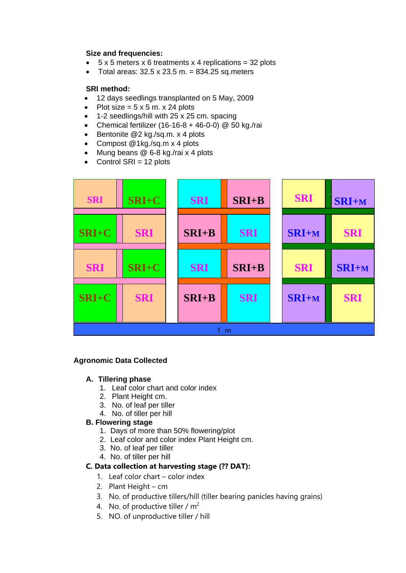#### **Size and frequencies:**

- $\bullet$  5 x 5 meters x 6 treatments x 4 replications = 32 plots
- $\bullet$  Total areas: 32.5 x 23.5 m. = 834.25 sq.meters

#### **SRI method:**

- 12 days seedlings transplanted on 5 May, 2009
- Plot size =  $5 \times 5$  m.  $\times$  24 plots
- 1-2 seedlings/hill with 25 x 25 cm. spacing
- Chemical fertilizer (16-16-8 + 46-0-0)  $@$  50 kg./rai
- Bentonite  $@2$  kg./sq.m. x 4 plots
- Compost @1kg./sq.m x 4 plots
- Mung beans @ 6-8 kg./rai x 4 plots
- Control SRI = 12 plots



#### **Agronomic Data Collected**

#### **A. Tillering phase**

- 1. Leaf color chart and color index
- 2. Plant Height cm.
- 3. No. of leaf per tiller
- 4. No. of tiller per hill

#### **B. Flowering stage**

- 1. Days of more than 50% flowering/plot
- 2. Leaf color and color index Plant Height cm.
- 3. No. of leaf per tiller
- 4. No. of tiller per hill

#### **C. Data collection at harvesting stage (?? DAT):**

- 1. Leaf color chart color index
- 2. Plant Height cm
- 3. No. of productive tillers/hill (tiller bearing panicles having grains)
- 4. No. of productive tiller /  $m<sup>2</sup>$
- 5. NO. of unproductive tiller / hill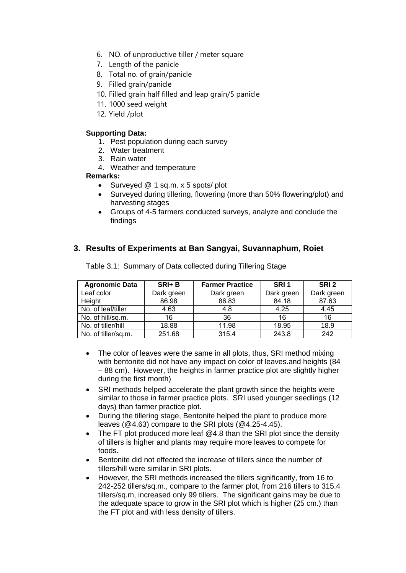- 6. NO. of unproductive tiller / meter square
- 7. Length of the panicle
- 8. Total no. of grain/panicle
- 9. Filled grain/panicle
- 10. Filled grain half filled and leap grain/5 panicle
- 11. 1000 seed weight
- 12. Yield /plot

#### **Supporting Data:**

- 1. Pest population during each survey
- 2. Water treatment
- 3. Rain water
- 4. Weather and temperature

#### **Remarks:**

- Surveyed @ 1 sq.m. x 5 spots/ plot
- Surveyed during tillering, flowering (more than 50% flowering/plot) and harvesting stages
- Groups of 4-5 farmers conducted surveys, analyze and conclude the findings

## **3. Results of Experiments at Ban Sangyai, Suvannaphum, Roiet**

| <b>Agronomic Data</b> | $SRI+ B$   | <b>Farmer Practice</b> | SRI <sub>1</sub> | SRI <sub>2</sub> |
|-----------------------|------------|------------------------|------------------|------------------|
| Leaf color            | Dark green | Dark green             | Dark green       | Dark green       |
| Height                | 86.98      | 86.83                  | 84.18            | 87.63            |
| No. of leaf/tiller    | 4.63       | 4.8                    | 4.25             | 4.45             |
| No. of hill/sq.m.     | 16         | 36                     | 16               | 16               |
| No. of tiller/hill    | 18.88      | 11.98                  | 18.95            | 18.9             |
| No. of tiller/sq.m.   | 251.68     | 315.4                  | 243.8            | 242              |

Table 3.1: Summary of Data collected during Tillering Stage

- The color of leaves were the same in all plots, thus, SRI method mixing with bentonite did not have any impact on color of leaves and heights (84 – 88 cm). However, the heights in farmer practice plot are slightly higher during the first month).
- SRI methods helped accelerate the plant growth since the heights were similar to those in farmer practice plots. SRI used younger seedlings (12 days) than farmer practice plot.
- During the tillering stage, Bentonite helped the plant to produce more leaves (@4.63) compare to the SRI plots (@4.25-4.45).
- The FT plot produced more leaf @4.8 than the SRI plot since the density of tillers is higher and plants may require more leaves to compete for foods.
- Bentonite did not effected the increase of tillers since the number of tillers/hill were similar in SRI plots.
- However, the SRI methods increased the tillers significantly, from 16 to 242-252 tillers/sq.m., compare to the farmer plot, from 216 tillers to 315.4 tillers/sq.m, increased only 99 tillers. The significant gains may be due to the adequate space to grow in the SRI plot which is higher (25 cm.) than the FT plot and with less density of tillers.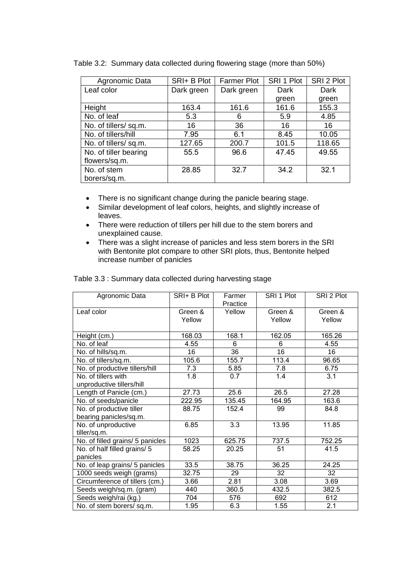| Agronomic Data        | SRI+ B Plot | <b>Farmer Plot</b> | SRI 1 Plot | SRI 2 Plot |
|-----------------------|-------------|--------------------|------------|------------|
| Leaf color            | Dark green  | Dark green         | Dark       | Dark       |
|                       |             |                    | green      | green      |
| Height                | 163.4       | 161.6              | 161.6      | 155.3      |
| No. of leaf           | 5.3         | 6                  | 5.9        | 4.85       |
| No. of tillers/sq.m.  | 16          | 36                 | 16         | 16         |
| No. of tillers/hill   | 7.95        | 6.1                | 8.45       | 10.05      |
| No. of tillers/sq.m.  | 127.65      | 200.7              | 101.5      | 118.65     |
| No. of tiller bearing | 55.5        | 96.6               | 47.45      | 49.55      |
| flowers/sq.m.         |             |                    |            |            |
| No. of stem           | 28.85       | 32.7               | 34.2       | 32.1       |
| borers/sq.m.          |             |                    |            |            |

Table 3.2: Summary data collected during flowering stage (more than 50%)

- There is no significant change during the panicle bearing stage.
- Similar development of leaf colors, heights, and slightly increase of leaves.
- There were reduction of tillers per hill due to the stem borers and unexplained cause.
- There was a slight increase of panicles and less stem borers in the SRI with Bentonite plot compare to other SRI plots, thus, Bentonite helped increase number of panicles

| Agronomic Data                   | SRI+ B Plot       | Farmer<br>Practice | SRI 1 Plot        | SRI 2 Plot        |
|----------------------------------|-------------------|--------------------|-------------------|-------------------|
| Leaf color                       | Green &<br>Yellow | Yellow             | Green &<br>Yellow | Green &<br>Yellow |
| Height (cm.)                     | 168.03            | 168.1              | 162.05            | 165.26            |
| No. of leaf                      | 4.55              | 6                  | 6                 | 4.55              |
| No. of hills/sq.m.               | 16                | 36                 | 16                | 16                |
| No. of tillers/sq.m.             | 105.6             | 155.7              | 113.4             | 96.65             |
| No. of productive tillers/hill   | 7.3               | 5.85               | 7.8               | 6.75              |
| No. of tillers with              | 1.8               | 0.7                | 1.4               | 3.1               |
| unproductive tillers/hill        |                   |                    |                   |                   |
| Length of Panicle (cm.)          | 27.73             | 25.6               | 26.5              | 27.28             |
| No. of seeds/panicle             | 222.95            | 135.45             | 164.95            | 163.6             |
| No. of productive tiller         | 88.75             | 152.4              | 99                | 84.8              |
| bearing panicles/sq.m.           |                   |                    |                   |                   |
| No. of unproductive              | 6.85              | 3.3                | 13.95             | 11.85             |
| tiller/sq.m.                     |                   |                    |                   |                   |
| No. of filled grains/ 5 panicles | 1023              | 625.75             | 737.5             | 752.25            |
| No. of half filled grains/ 5     | 58.25             | 20.25              | 51                | 41.5              |
| panicles                         |                   |                    |                   |                   |
| No. of leap grains/ 5 panicles   | 33.5              | 38.75              | 36.25             | 24.25             |
| 1000 seeds weigh (grams)         | 32.75             | 29                 | 32                | 32                |
| Circumference of tillers (cm.)   | 3.66              | 2.81               | 3.08              | 3.69              |
| Seeds weigh/sq.m. (gram)         | 440               | 360.5              | 432.5             | 382.5             |
| Seeds weigh/rai (kg.)            | 704               | 576                | 692               | 612               |
| No. of stem borers/sq.m.         | 1.95              | 6.3                | 1.55              | 2.1               |

Table 3.3 : Summary data collected during harvesting stage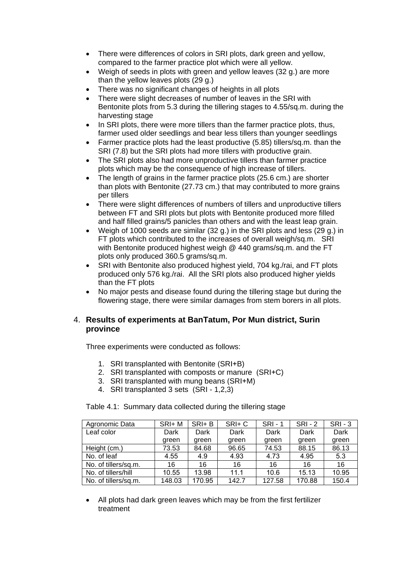- There were differences of colors in SRI plots, dark green and yellow, compared to the farmer practice plot which were all yellow.
- Weigh of seeds in plots with green and yellow leaves (32 g.) are more than the yellow leaves plots (29 g.)
- There was no significant changes of heights in all plots
- There were slight decreases of number of leaves in the SRI with Bentonite plots from 5.3 during the tillering stages to 4.55/sq.m. during the harvesting stage
- In SRI plots, there were more tillers than the farmer practice plots, thus, farmer used older seedlings and bear less tillers than younger seedlings
- Farmer practice plots had the least productive (5.85) tillers/sq.m. than the SRI (7.8) but the SRI plots had more tillers with productive grain.
- The SRI plots also had more unproductive tillers than farmer practice plots which may be the consequence of high increase of tillers.
- The length of grains in the farmer practice plots (25.6 cm.) are shorter than plots with Bentonite (27.73 cm.) that may contributed to more grains per tillers
- There were slight differences of numbers of tillers and unproductive tillers between FT and SRI plots but plots with Bentonite produced more filled and half filled grains/5 panicles than others and with the least leap grain.
- Weigh of 1000 seeds are similar (32 g.) in the SRI plots and less (29 g.) in FT plots which contributed to the increases of overall weigh/sq.m. SRI with Bentonite produced highest weigh @ 440 grams/sq.m. and the FT plots only produced 360.5 grams/sq.m.
- SRI with Bentonite also produced highest yield, 704 kg./rai, and FT plots produced only 576 kg./rai. All the SRI plots also produced higher yields than the FT plots
- No major pests and disease found during the tillering stage but during the flowering stage, there were similar damages from stem borers in all plots.

#### 4. **Results of experiments at BanTatum, Por Mun district, Surin province**

Three experiments were conducted as follows:

- 1. SRI transplanted with Bentonite (SRI+B)
- 2. SRI transplanted with composts or manure (SRI+C)
- 3. SRI transplanted with mung beans (SRI+M)
- 4. SRI transplanted 3 sets (SRI 1,2,3)

Table 4.1: Summary data collected during the tillering stage

| Agronomic Data       | SRI+ M | SRI+B  | SRI+ C | <b>SRI-1</b> | $SRI - 2$ | $SRI - 3$ |
|----------------------|--------|--------|--------|--------------|-----------|-----------|
| Leaf color           | Dark   | Dark   | Dark   | Dark         | Dark      | Dark      |
|                      | green  | green  | green  | green        | green     | green     |
| Height (cm.)         | 73.53  | 84.68  | 96.65  | 74.53        | 88.15     | 86.13     |
| No. of leaf          | 4.55   | 4.9    | 4.93   | 4.73         | 4.95      | 5.3       |
| No. of tillers/sq.m. | 16     | 16     | 16     | 16           | 16        | 16        |
| No. of tillers/hill  | 10.55  | 13.98  | 11.1   | 10.6         | 15.13     | 10.95     |
| No. of tillers/sq.m. | 148.03 | 170.95 | 142.7  | 127.58       | 170.88    | 150.4     |

 All plots had dark green leaves which may be from the first fertilizer treatment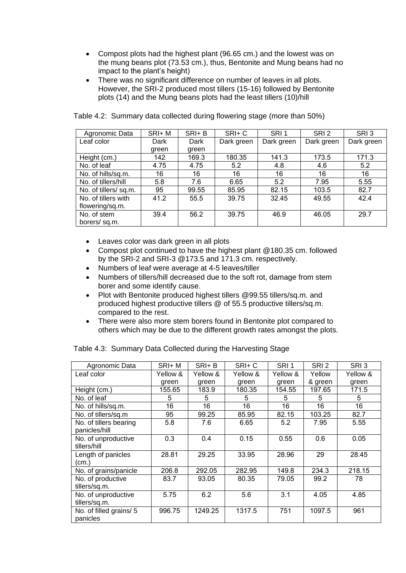- Compost plots had the highest plant (96.65 cm.) and the lowest was on the mung beans plot (73.53 cm.), thus, Bentonite and Mung beans had no impact to the plant's height)
- There was no significant difference on number of leaves in all plots. However, the SRI-2 produced most tillers (15-16) followed by Bentonite plots (14) and the Mung beans plots had the least tillers (10)/hill

| Agronomic Data       | SRI+ M | $SRI+ B$ | $SRI+C$    | SRI <sub>1</sub> | SRI <sub>2</sub> | SRI3       |
|----------------------|--------|----------|------------|------------------|------------------|------------|
| Leaf color           | Dark   | Dark     | Dark green | Dark green       | Dark green       | Dark green |
|                      | green  | green    |            |                  |                  |            |
| Height (cm.)         | 142    | 169.3    | 180.35     | 141.3            | 173.5            | 171.3      |
| No. of leaf          | 4.75   | 4.75     | 5.2        | 4.8              | 4.6              | 5.2        |
| No. of hills/sq.m.   | 16     | 16       | 16         | 16               | 16               | 16         |
| No. of tillers/hill  | 5.8    | 7.6      | 6.65       | 5.2              | 7.95             | 5.55       |
| No. of tillers/sq.m. | 95     | 99.55    | 85.95      | 82.15            | 103.5            | 82.7       |
| No. of tillers with  | 41.2   | 55.5     | 39.75      | 32.45            | 49.55            | 42.4       |
| flowering/sq.m.      |        |          |            |                  |                  |            |
| No. of stem          | 39.4   | 56.2     | 39.75      | 46.9             | 46.05            | 29.7       |
| borers/sq.m.         |        |          |            |                  |                  |            |

Table 4.2: Summary data collected during flowering stage (more than 50%)

- Leaves color was dark green in all plots
- Compost plot continued to have the highest plant @180.35 cm. followed by the SRI-2 and SRI-3 @173.5 and 171.3 cm. respectively.
- Numbers of leaf were average at 4-5 leaves/tiller
- Numbers of tillers/hill decreased due to the soft rot, damage from stem borer and some identify cause.
- Plot with Bentonite produced highest tillers @99.55 tillers/sq.m. and produced highest productive tillers @ of 55.5 productive tillers/sq.m. compared to the rest.
- There were also more stem borers found in Bentonite plot compared to others which may be due to the different growth rates amongst the plots.

| Agronomic Data                          | SRI+ M   | SRI+ B   | SRI+C    | SRI <sub>1</sub> | SRI <sub>2</sub> | SRI3     |
|-----------------------------------------|----------|----------|----------|------------------|------------------|----------|
| Leaf color                              | Yellow & | Yellow & | Yellow & | Yellow &         | Yellow           | Yellow & |
|                                         | green    | green    | green    | green            | & green          | green    |
| Height (cm.)                            | 155.65   | 183.9    | 180.35   | 154.55           | 197.65           | 171.5    |
| No. of leaf                             | 5        | 5        | 5        | 5                | 5                | 5        |
| No. of hills/sq.m.                      | 16       | 16       | 16       | 16               | 16               | 16       |
| No. of tillers/sq.m                     | 95       | 99.25    | 85.95    | 82.15            | 103.25           | 82.7     |
| No. of tillers bearing<br>panicles/hill | 5.8      | 7.6      | 6.65     | 5.2              | 7.95             | 5.55     |
| No. of unproductive<br>tillers/hill     | 0.3      | 0.4      | 0.15     | 0.55             | 0.6              | 0.05     |
| Length of panicles<br>(cm.)             | 28.81    | 29.25    | 33.95    | 28.96            | 29               | 28.45    |
| No. of grains/panicle                   | 206.8    | 292.05   | 282.95   | 149.8            | 234.3            | 218.15   |
| No. of productive<br>tillers/sq.m.      | 83.7     | 93.05    | 80.35    | 79.05            | 99.2             | 78       |
| No. of unproductive<br>tillers/sq.m.    | 5.75     | 6.2      | 5.6      | 3.1              | 4.05             | 4.85     |
| No. of filled grains/ 5<br>panicles     | 996.75   | 1249.25  | 1317.5   | 751              | 1097.5           | 961      |

Table 4.3: Summary Data Collected during the Harvesting Stage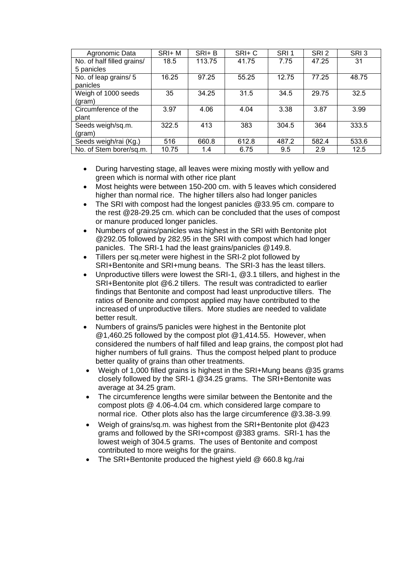| Agronomic Data             | SRI+ M | $SRI+ B$ | SRI+C | SRI <sub>1</sub> | SRI <sub>2</sub> | SRI3  |
|----------------------------|--------|----------|-------|------------------|------------------|-------|
| No. of half filled grains/ | 18.5   | 113.75   | 41.75 | 7.75             | 47.25            | 31    |
| 5 panicles                 |        |          |       |                  |                  |       |
| No. of leap grains/ 5      | 16.25  | 97.25    | 55.25 | 12.75            | 77.25            | 48.75 |
| panicles                   |        |          |       |                  |                  |       |
| Weigh of 1000 seeds        | 35     | 34.25    | 31.5  | 34.5             | 29.75            | 32.5  |
| (gram)                     |        |          |       |                  |                  |       |
| Circumference of the       | 3.97   | 4.06     | 4.04  | 3.38             | 3.87             | 3.99  |
| plant                      |        |          |       |                  |                  |       |
| Seeds weigh/sq.m.          | 322.5  | 413      | 383   | 304.5            | 364              | 333.5 |
| (gram)                     |        |          |       |                  |                  |       |
| Seeds weigh/rai (Kg.)      | 516    | 660.8    | 612.8 | 487.2            | 582.4            | 533.6 |
| No. of Stem borer/sq.m.    | 10.75  | 1.4      | 6.75  | 9.5              | 2.9              | 12.5  |

- During harvesting stage, all leaves were mixing mostly with yellow and green which is normal with other rice plant
- Most heights were between 150-200 cm. with 5 leaves which considered higher than normal rice. The higher tillers also had longer panicles
- The SRI with compost had the longest panicles @33.95 cm. compare to the rest @28-29.25 cm. which can be concluded that the uses of compost or manure produced longer panicles.
- Numbers of grains/panicles was highest in the SRI with Bentonite plot @292.05 followed by 282.95 in the SRI with compost which had longer panicles. The SRI-1 had the least grains/panicles @149.8.
- Tillers per sq.meter were highest in the SRI-2 plot followed by SRI+Bentonite and SRI+mung beans. The SRI-3 has the least tillers.
- Unproductive tillers were lowest the SRI-1, @3.1 tillers, and highest in the SRI+Bentonite plot @6.2 tillers. The result was contradicted to earlier findings that Bentonite and compost had least unproductive tillers. The ratios of Benonite and compost applied may have contributed to the increased of unproductive tillers. More studies are needed to validate better result.
- Numbers of grains/5 panicles were highest in the Bentonite plot @1,460.25 followed by the compost plot @1,414.55. However, when considered the numbers of half filled and leap grains, the compost plot had higher numbers of full grains. Thus the compost helped plant to produce better quality of grains than other treatments.
- Weigh of 1,000 filled grains is highest in the SRI+Mung beans @35 grams closely followed by the SRI-1 @34.25 grams. The SRI+Bentonite was average at 34.25 gram.
- The circumference lengths were similar between the Bentonite and the compost plots @ 4.06-4.04 cm. which considered large compare to normal rice. Other plots also has the large circumference @3.38-3.99.
- Weigh of grains/sq.m. was highest from the SRI+Bentonite plot @423 grams and followed by the SRI+compost @383 grams. SRI-1 has the lowest weigh of 304.5 grams. The uses of Bentonite and compost contributed to more weighs for the grains.
- The SRI+Bentonite produced the highest yield @ 660.8 kg./rai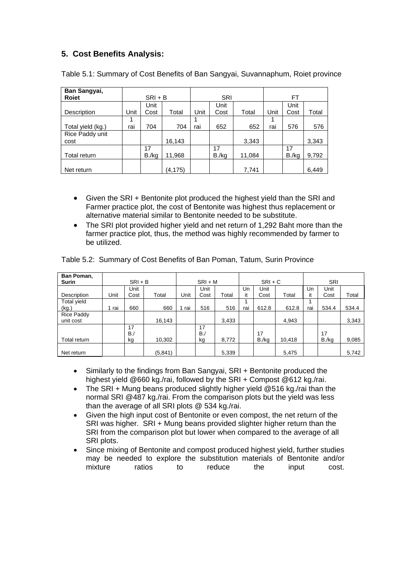## **5. Cost Benefits Analysis:**

| Ban Sangyai,      |      |           |          |      |       |        |      |       |       |  |
|-------------------|------|-----------|----------|------|-------|--------|------|-------|-------|--|
| <b>Roiet</b>      |      | $SRI + B$ |          |      | SRI   |        |      | FT    |       |  |
|                   |      | Unit      |          |      | Unit  |        |      | Unit  |       |  |
| Description       | Unit | Cost      | Total    | Unit | Cost  | Total  | Unit | Cost  | Total |  |
|                   |      |           |          |      |       |        |      |       |       |  |
| Total yield (kg.) | rai  | 704       | 704      | rai  | 652   | 652    | rai  | 576   | 576   |  |
| Rice Paddy unit   |      |           |          |      |       |        |      |       |       |  |
| cost              |      |           | 16,143   |      |       | 3,343  |      |       | 3,343 |  |
|                   |      | 17        |          |      | 17    |        |      | 17    |       |  |
| Total return      |      | B./kg     | 11,968   |      | B./kg | 11,084 |      | B./kg | 9,792 |  |
|                   |      |           |          |      |       |        |      |       |       |  |
| Net return        |      |           | (4, 175) |      |       | 7,741  |      |       | 6,449 |  |

Table 5.1: Summary of Cost Benefits of Ban Sangyai, Suvannaphum, Roiet province

- Given the SRI + Bentonite plot produced the highest yield than the SRI and Farmer practice plot, the cost of Bentonite was highest thus replacement or alternative material similar to Bentonite needed to be substitute.
- The SRI plot provided higher yield and net return of 1,292 Baht more than the farmer practice plot, thus, the method was highly recommended by farmer to be utilized.

| Ban Poman,        |      |           |          |       |           |       |     |           |        |     |       |       |
|-------------------|------|-----------|----------|-------|-----------|-------|-----|-----------|--------|-----|-------|-------|
| <b>Surin</b>      |      | $SRI + B$ |          |       | $SRI + M$ |       |     | $SRI + C$ |        |     | SRI   |       |
|                   |      | Unit      |          |       | Unit      |       | Un  | Unit      |        | Un  | Unit  |       |
| Description       | Unit | Cost      | Total    | Unit  | Cost      | Total | it  | Cost      | Total  | it  | Cost  | Total |
| Total yield       |      |           |          |       |           |       |     |           |        |     |       |       |
| (kg.)             | rai  | 660       | 660      | 1 rai | 516       | 516   | rai | 612.8     | 612.8  | rai | 534.4 | 534.4 |
| <b>Rice Paddy</b> |      |           |          |       |           |       |     |           |        |     |       |       |
| unit cost         |      |           | 16,143   |       |           | 3,433 |     |           | 4.943  |     |       | 3,343 |
|                   |      | 17        |          |       | 17        |       |     |           |        |     |       |       |
|                   |      | $B$ ./    |          |       | $B_{J}$   |       |     | 17        |        |     | 17    |       |
| Total return      |      | kg        | 10,302   |       | kg        | 8,772 |     | B./kg     | 10.418 |     | B./kg | 9,085 |
| Net return        |      |           | (5, 841) |       |           | 5,339 |     |           | 5,475  |     |       | 5,742 |

Table 5.2: Summary of Cost Benefits of Ban Poman, Tatum, Surin Province

- Similarly to the findings from Ban Sangyai, SRI + Bentonite produced the highest yield @660 kg./rai, followed by the SRI + Compost @612 kg./rai.
- The SRI + Mung beans produced slightly higher yield @516 kg./rai than the normal SRI @487 kg./rai. From the comparison plots but the yield was less than the average of all SRI plots @ 534 kg./rai.
- Given the high input cost of Bentonite or even compost, the net return of the SRI was higher. SRI + Mung beans provided slighter higher return than the SRI from the comparison plot but lower when compared to the average of all SRI plots.
- Since mixing of Bentonite and compost produced highest yield, further studies may be needed to explore the substitution materials of Bentonite and/or mixture ratios to reduce the input cost.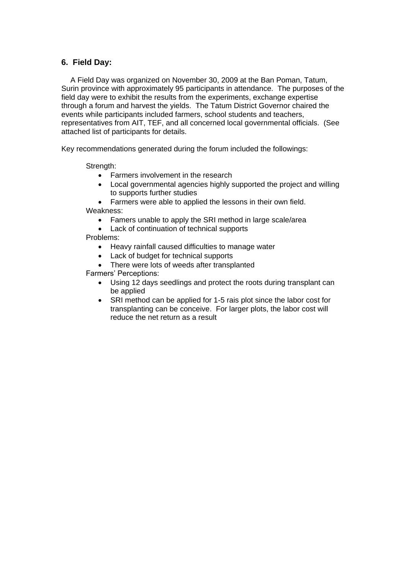### **6. Field Day:**

A Field Day was organized on November 30, 2009 at the Ban Poman, Tatum, Surin province with approximately 95 participants in attendance. The purposes of the field day were to exhibit the results from the experiments, exchange expertise through a forum and harvest the yields. The Tatum District Governor chaired the events while participants included farmers, school students and teachers, representatives from AIT, TEF, and all concerned local governmental officials. (See attached list of participants for details.

Key recommendations generated during the forum included the followings:

Strength:

- Farmers involvement in the research
- Local governmental agencies highly supported the project and willing to supports further studies

Farmers were able to applied the lessons in their own field.

Weakness:

- Famers unable to apply the SRI method in large scale/area
- Lack of continuation of technical supports

Problems:

- Heavy rainfall caused difficulties to manage water
- Lack of budget for technical supports
- There were lots of weeds after transplanted

Farmers' Perceptions:

- Using 12 days seedlings and protect the roots during transplant can be applied
- SRI method can be applied for 1-5 rais plot since the labor cost for transplanting can be conceive. For larger plots, the labor cost will reduce the net return as a result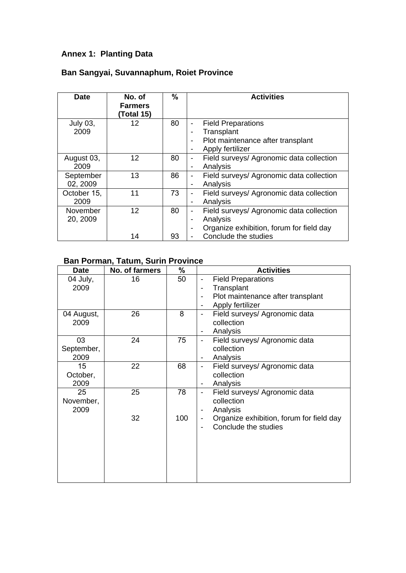## **Annex 1: Planting Data**

## **Ban Sangyai, Suvannaphum, Roiet Province**

| <b>Date</b> | No. of<br><b>Farmers</b><br>(Total 15) | %  | <b>Activities</b>                                                    |
|-------------|----------------------------------------|----|----------------------------------------------------------------------|
| July 03,    | 12                                     | 80 | <b>Field Preparations</b><br>$\overline{\phantom{a}}$                |
| 2009        |                                        |    | Transplant                                                           |
|             |                                        |    | Plot maintenance after transplant<br>$\blacksquare$                  |
|             |                                        |    | Apply fertilizer                                                     |
| August 03,  | 12                                     | 80 | Field surveys/ Agronomic data collection                             |
| 2009        |                                        |    | Analysis<br>$\overline{\phantom{a}}$                                 |
| September   | 13                                     | 86 | Field surveys/ Agronomic data collection<br>$\overline{\phantom{a}}$ |
| 02, 2009    |                                        |    | Analysis                                                             |
| October 15, | 11                                     | 73 | Field surveys/ Agronomic data collection                             |
| 2009        |                                        |    | Analysis<br>$\blacksquare$                                           |
| November    | 12                                     | 80 | Field surveys/ Agronomic data collection<br>$\overline{\phantom{a}}$ |
| 20, 2009    |                                        |    | Analysis<br>$\blacksquare$                                           |
|             |                                        |    | Organize exhibition, forum for field day<br>$\blacksquare$           |
|             | 14                                     | 93 | Conclude the studies                                                 |

## **Ban Porman, Tatum, Surin Province**

| <b>Date</b>              | No. of farmers | %         | <b>Activities</b>                                                                                                                |
|--------------------------|----------------|-----------|----------------------------------------------------------------------------------------------------------------------------------|
| 04 July,<br>2009         | 16             | 50        | <b>Field Preparations</b><br>Transplant<br>Plot maintenance after transplant<br>$\blacksquare$<br>Apply fertilizer               |
| 04 August,<br>2009       | 26             | 8         | Field surveys/ Agronomic data<br>$\blacksquare$<br>collection<br>Analysis<br>$\overline{\phantom{a}}$                            |
| 03<br>September,<br>2009 | 24             | 75        | Field surveys/ Agronomic data<br>$\overline{\phantom{0}}$<br>collection<br>Analysis                                              |
| 15<br>October,<br>2009   | 22             | 68        | Field surveys/ Agronomic data<br>$\overline{\phantom{a}}$<br>collection<br>Analysis<br>$\overline{\phantom{a}}$                  |
| 25<br>November,<br>2009  | 25<br>32       | 78<br>100 | Field surveys/ Agronomic data<br>-<br>collection<br>Analysis<br>Organize exhibition, forum for field day<br>Conclude the studies |
|                          |                |           |                                                                                                                                  |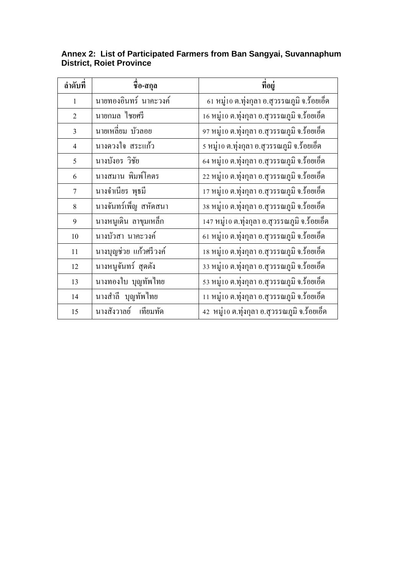| ลำดับที่       | ชื่อ-สกุล               | ที่อยู่                                        |
|----------------|-------------------------|------------------------------------------------|
| $\mathbf{1}$   | นายทองอินทร์ นาคะวงค์   | ่ 61 หมู่10 ต.ทุ่งกุลา อ.สุวรรณภูมิ จ.ร้อยเอ็ด |
| $\overline{2}$ | นายกมล ใชยศรี           | 16 หมู่10 ต.ทุ่งกุลา อ.สุวรรณภูมิ จ.ร้อยเอ็ด   |
| $\overline{3}$ | นายเหลี่ยม บัวลอย       | 97 หมู่10 ต.ทุ่งกุลา อ.สุวรรณภูมิ จ.ร้อยเอ็ด   |
| $\overline{4}$ | นางควงใจ สระแก้ว        | 5 หมู่10 ต.ทุ่งกุลา อ.สุวรรณภูมิ จ.ร้อยเอ็ด    |
| 5              | นางบังอร วิชัย          | 64 หมู่10 ต.ทุ่งกุลา อ.สุวรรณภูมิ จ.ร้อยเอ็ด   |
| 6              | นางสมาน พิมพ์โคตร       | 22 หมู่10 ต.ทุ่งกุลา อ.สุวรรณภูมิ จ.ร้อยเอ็ด   |
| 7              | นางจำเนียร พุธมี        | 17 หมู่10 ต.ทุ่งกุลา อ.สุวรรณภูมิ จ.ร้อยเอ็ด   |
| 8              | นางจันทร์เพ็ญ สหัดสนา   | 38 หมู่10 ต.ทุ่งกุลา อ.สุวรรณภูมิ จ.ร้อยเอ็ด   |
| 9              | นางหนูเดิน ลาขุมเหล็ก   | 147 หมู่10 ต.ทุ่งกุลา อ.สุวรรณภูมิ จ.ร้อยเอ็ด  |
| 10             | นางบัวสา นาคะวงค์       | 61 หมู่10 ต.ทุ่งกุลา อ.สุวรรณภูมิ จ.ร้อยเอ็ด   |
| 11             | นางบุญช่วย แก้วศรีวงค์  | 18 หมู่10 ต.ทุ่งกุลา อ.สุวรรณภูมิ จ.ร้อยเอ็ด   |
| 12             | นางหนูจันทร์ สุดตัง     | 33 หมู่10 ต.ทุ่งกุลา อ.สุวรรณภูมิ จ.ร้อยเอ็ด   |
| 13             | ้นางทองใบ บุญทัพไทย     | 53 หมู่10 ต.ทุ่งกุลา อ.สุวรรณภูมิ จ.ร้อยเอ็ด   |
| 14             | นางสำลี บุญทัพไทย       | 11 หมู่10 ต.ทุ่งกุลา อ.สุวรรณภูมิ จ.ร้อยเอ็ด   |
| 15             | นางสังวาลย์<br>เทียมทัด | 42 หมู่10 ต.ทุ่งกุลา อ.สุวรรณภูมิ จ.ร้อยเอ็ด   |

## **Annex 2: List of Participated Farmers from Ban Sangyai, Suvannaphum District, Roiet Province**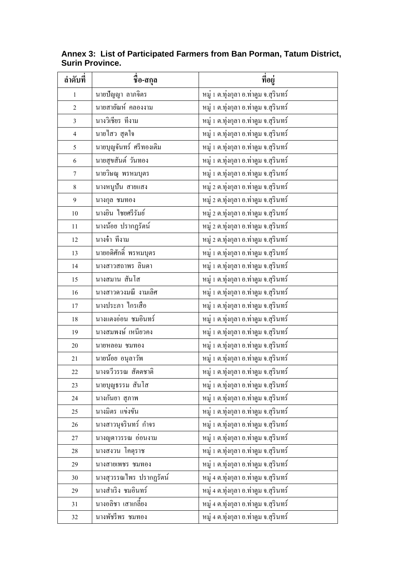| ลำดับที่         | ี<br>ชื่อ-สกุล          | ที่อยู่                               |
|------------------|-------------------------|---------------------------------------|
| $\mathbf{1}$     | นายปัญญา ลาภจิตร        | หมู่ 1 ต.ทุ่งกุลา อ.ท่าตูม จ.สุรินทร์ |
| $\overline{2}$   | นายสายัณห์ คลองงาม      | หมู่ 1 ต.ทุ่งกุลา อ.ท่าตูม จ.สุรินทร์ |
| $\mathfrak{Z}$   | นางวิเชียร ที่งาม       | หมู่ 1 ต.ทุ่งกุลา อ.ท่าตูม จ.สุรินทร์ |
| $\overline{4}$   | นายใสว สุดใจ            | หมู่ 1 ต.ทุ่งกุลา อ.ท่าตูม จ.สุรินทร์ |
| 5                | นายบุญจันทร์ ศรีทองเติม | หมู่ 1 ต.ทุ่งกุลา อ.ท่าตูม จ.สุรินทร์ |
| $\sqrt{6}$       | นายสุขสันต์ วันทอง      | หมู่ 1 ต.ทุ่งกุลา อ.ท่าตูม จ.สุรินทร์ |
| $\boldsymbol{7}$ | นายวิษณุ พรหมบุตร       | หมู่ 1 ต.ทุ่งกุลา อ.ท่าตูม จ.สุรินทร์ |
| $\,8\,$          | นางหนูปั้น สายแสง       | หมู่ 2 ต.ทุ่งกุลา อ.ท่าตูม จ.สุรินทร์ |
| $\mathfrak{g}$   | นางกุล ชมทอง            | หมู่ 2 ต.ทุ่งกุลา อ.ท่าตูม จ.สุรินทร์ |
| $10\,$           | นางยิน ไชยศรีรัมย์      | หมู่ 2 ต.ทุ่งกุลา อ.ท่าตูม จ.สุรินทร์ |
| $11\,$           | นางน้อย ปรากฏรัตน์      | หมู่ 2 ต.ทุ่งกุลา อ.ท่าตูม จ.สุรินทร์ |
| $12\,$           | นางจ๋า ที่งาม           | หมู่ 2 ต.ทุ่งกุลา อ.ท่าตูม จ.สุรินทร์ |
| 13               | นายอดิศักดิ์ พรหมบุตร   | หมู่ 1 ต.ทุ่งกุลา อ.ท่าตูม จ.สุรินทร์ |
| 14               | นางสาวสถาพร ลินดา       | หมู่ 1 ต.ทุ่งกุลา อ.ท่าตูม จ.สุรินทร์ |
| 15               | นางสมาน สันโส           | หมู่ 1 ต.ทุ่งกุลา อ.ท่าตูม จ.สุรินทร์ |
| 16               | นางสาวควงมณี งามเลิศ    | หมู่ 1 ต.ทุ่งกุลา อ.ท่าตูม จ.สุรินทร์ |
| 17               | นางประภา ใกรเสือ        | หมู่ 1 ต.ทุ่งกุลา อ.ท่าตูม จ.สุรินทร์ |
| $18\,$           | นางแตงอ่อน ชมอินทร์     | หมู่ 1 ต.ทุ่งกุลา อ.ท่าตูม จ.สุรินทร์ |
| 19               | นางสมพงษ์ เหนียวคง      | หมู่ 1 ต.ทุ่งกุลา อ.ท่าตูม จ.สุรินทร์ |
| $20\,$           | นายหลอม ชมทอง           | หมู่ 1 ต.ทุ่งกุลา อ.ท่าตูม จ.สุรินทร์ |
| 21               | นายน้อย อนุลาวัพ        | หมู่ 1 ต.ทุ่งกุลา อ.ท่าตูม จ.สุรินทร์ |
| 22               | นางฉวิวรรณ สัตตชาติ     | หมู่ 1 ต.ทุ่งกุลา อ.ท่าตูม จ.สุรินทร์ |
| 23               | นายบุญธรรม สันโส        | หมู่ 1 ต.ทุ่งกุลา อ.ท่าตูม จ.สุรินทร์ |
| 24               | นางกันยา สุภาพ          | หมู่ 1 ต.ทุ่งกุลา อ.ท่าตูม จ.สุรินทร์ |
| 25               | นางมิตร แข่งขัน         | หมู่ 1 ต.ทุ่งกุลา อ.ท่าตูม จ.สุรินทร์ |
| 26               | นางสาวนุจรินทร์ กำจร    | หมู่ 1 ต.ทุ่งกุลา อ.ท่าตูม จ.สุรินทร์ |
| $27\,$           | นางญูดาวรรณ อ่อนงาม     | หมู่ 1 ต.ทุ่งกุลา อ.ท่าตูม จ.สุรินทร์ |
| 28               | นางสงวน โคตุราช         | หมู่ 1 ต.ทุ่งกุลา อ.ท่าตูม จ.สุรินทร์ |
| 29               | นางสายเพชร ชมทอง        | หมู่ 1 ต.ทุ่งกุลา อ.ท่าตูม จ.สุรินทร์ |
| 30               | นางสุวรรณไพร ปรากฏรัตน์ | หมู่ 4 ต.ทุ่งกุลา อ.ท่าตูม จ.สุรินทร์ |
| 29               | นางสำเริง ชมอินทร์      | หมู่ 4 ต.ทุ่งกุลา อ.ท่าตูม จ.สุรินทร์ |
| 31               | นางอลิชา เสาเกลี้ยง     | หมู่ 4 ต.ทุ่งกุลา อ.ท่าตูม จ.สุรินทร์ |
| 32               | นางพัชรีพร ชมทอง        | หมู่ 4 ต.ทุ่งกุลา อ.ท่าตูม จ.สุรินทร์ |

**Annex 3: List of Participated Farmers from Ban Porman, Tatum District, Surin Province.**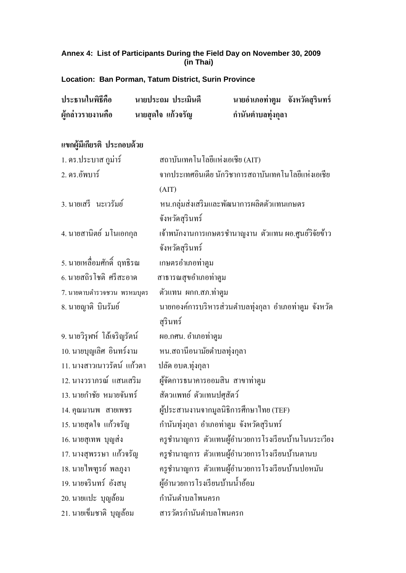### **Annex 4: List of Participants During the Field Day on November 30, 2009 (in Thai)**

**Location: Ban Porman, Tatum District, Surin Province**

| ประธานในพิธีคือ   | ิ นายประถม ประเมินดี | นายอำเภอท่าตูม จังหวัดสุรินทร์ |  |
|-------------------|----------------------|--------------------------------|--|
| ผู้กล่าวรายงานคือ | นายสุดใจ แก้วจรัญ    | กำนันตำบลทุ่งกุลา              |  |

# **แขกผู้มีเกยีรติประกอบด้วย**

| 1. คร.ประบาส กูม่าร์        | สถาบันเทคโนโลยีแห่งเอเชีย (AIT)                       |
|-----------------------------|-------------------------------------------------------|
| 2. คร.อัพบาร์               | จากประเทศอินเดีย นักวิชาการสถาบันเทคโนโลยีแห่งเอเชีย  |
|                             | (AIT)                                                 |
| 3. นายเสรี นะเวรัมย์        | หน.กลุ่มส่งเสริมและพัฒนาการผลิตตัวแทนเกษตร            |
|                             | จังหวัดสุรินทร์                                       |
| 4. นายสานิตย์ มโนเอกกุล     | เจ้าพนักงานการเกษตรชำนาญงาน ตัวแทน ผอ.ศูนย์วิจัยข้าว  |
|                             | จังหวัดสุรินทร์                                       |
| 5. นายเหลือมศักดิ์ ฤทธิรณ   | เกษตรอำเภอท่าตูม                                      |
| 6. นายสถิรโชติ ศรีสะอาด     | สาธารณสุขอำเภอท่าตูม                                  |
| 7. นายดาบตำรวจชวน พรหมบุตร  | ตัวแทน ผกก.สภ.ท่าตูม                                  |
| 8. นายญาติ บินรัมย์         | นายกองค์การบริหารส่วนตำบลทุ่งกุลา อำเภอท่าตูม จังหวัด |
|                             | สุรินทร์                                              |
| 9. นายวิรุฬห์ โล้เจริญรัตน์ | ผอ.กศน. อำเภอท่าตูม                                   |
| 10. นายบุญเลิศ อินทร์งาม    | หน.สถานีอนามัยตำบลทุ่งกุลา                            |
| 11. นางสาวเนาวรัตน์ แก้วตา  | ปลัด อบต.ทุ่งกุลา                                     |
| 12. นางวราภรณ์ แสนเสริม     | ผู้จัดการธนาคารออมสิน สาขาท่าตูม                      |
| 13. นายกำชัย หมายจันทร์     | สัตวแพทย์ ตัวแทนปศุสัตว์                              |
| 14. คุณมานพ สายเพชร         | ผู้ประสานงานจากมูลนิธิการศึกษาไทย (TEF)               |
| 15. นายสุดใจ แก้วจรัญ       | กำนันทุ่งกุลา อำเภอท่าตูม จังหวัดสุรินทร์             |
| 16. นายสุเทพ บุญส่ง         | ครูชำนาญการ ตัวแทนผู้อำนวยการโรงเรียนบ้านโนนระเวียง   |
| 17. นางสุพรรษา แก้วจรัญ     | ครูชำนาญการ ตัวแทนผู้อำนวยการโรงเรียนบ้านตานบ         |
| 18. นายใพฑูรย์ พลภูงา       | ครูชำนาญการ ตัวแทนผู้อำนวยการโรงเรียนบ้านปอหมัน       |
| 19. นายจรินทร์ อังสนุ       | ผู้อำนวยการโรงเรียนบ้านน้ำอ้อม                        |
| 20. นายแปะ บุญล้อม          | กำนันตำบลโพนครก                                       |
| 21. นายเข็มชาติ บุญล้อม     | สารวัตรกำนันตำบลโพนครก                                |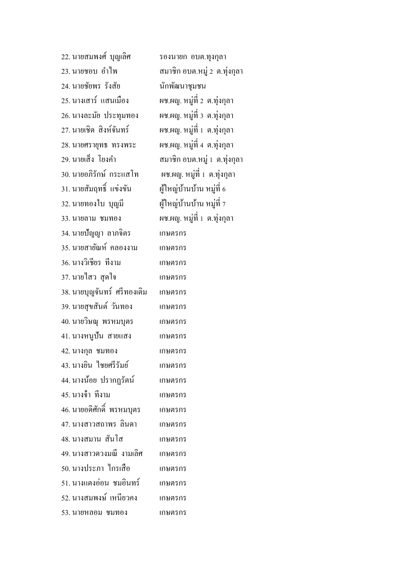| 22. นายสมพงศ์  บุญเลิศ       | รองนายก อบต.ทุงกุลา           |
|------------------------------|-------------------------------|
| 23. นายชอบ อำไพ              | สมาชิก อบต.หมู่ 2  ต.ทุ่งกุลา |
| 24. นายชัยพร รังสัย          | นักพัฒนาชุมชน                 |
| 25. นางเสาร์  แสนเมือง       | ผช.ผญ. หมู่ที่ 2 ต.ทุ่งกุลา   |
| 26. นางละมัย ประทุมทอง       | ผช.ผญ. หมู่ที่ 3 ต.ทุ่งกุลา   |
| 27. นายเชิด สิงห์จันทร์      | ผช.ผญ. หมู่ที่ 1 ต.ทุ่งกุลา   |
| 28. นายศรายุทธ ทรงพระ        | ผช.ผญ. หมู่ที่ 4 ต.ทุ่งกุลา   |
| 29. นายเส็ง โยงคำ            | สมาชิก อบต.หมู่ 1  ต.ทุ่งกุลา |
| 30. นายอภิรักษ์ กระแสโท      | ผช.ผญ. หมู่ที่ 1 ต.ทุ่งกุลา   |
| 31. นายสัมฤทธิ์  แข่งขัน     | ผู้ใหญ่บ้านบ้าน หมู่ที่ 6     |
| 32. นายทองใบ บุญมี           | ผู้ใหญ่บ้านบ้าน หมู่ที่ 7     |
| 33. นายลาม ชมทอง             | ผช.ผญ. หมู่ที่ 1 ต.ทุ่งกุลา   |
| 34. นายปัญญา ลาภจิตร         | เกษตรกร                       |
| 35. นายสายัณห์ คลองงาม       | เกษตรกร                       |
| 36. นางวิเชียร ที่งาม        | เกษตรกร                       |
| 37. นายใสว สุดใจ             | เกษตรกร                       |
| 38. นายบุญจันทร์  ศรีทองเติม | เกษตรกร                       |
| 39. นายสุขสันต์ วันทอง       | เกษตรกร                       |
| 40. นายวิษณุ พรหมบุตร        | เกษตรกร                       |
| 41. นางหนูปั้น สายแสง        | เกษตรกร                       |
| 42. นางกุล ชมทอง             | เกษตรกร                       |
| 43. นางยิน ไชยศรีรัมย์       | เกษตรกร                       |
| 44. นางน้อย ปรากฏรัตน์       | เกษตรกร                       |
| 45. นางจ๋า ที่งาม            | เกษตรกร                       |
| 46. นายอดิศักดิ์  พรหมบุตร   | เกษตรกร                       |
| 47. นางสาวสถาพร ลินคา        | เกษตรกร                       |
| 48. นางสมาน สันโส            | เกษตรกร                       |
| 49. นางสาวควงมณี งามเลิศ     | เกษตรกร                       |
| 50. นางประภา ใกรเสือ         | เกษตรกร                       |
| 51. นางแตงอ่อน ชมอินทร์      | เกษตรกร                       |
| 52. นางสมพงษ์ เหนียวคง       | เกษตรกร                       |
| 53. นายหลอม ชมทอง            | เกษตรกร                       |